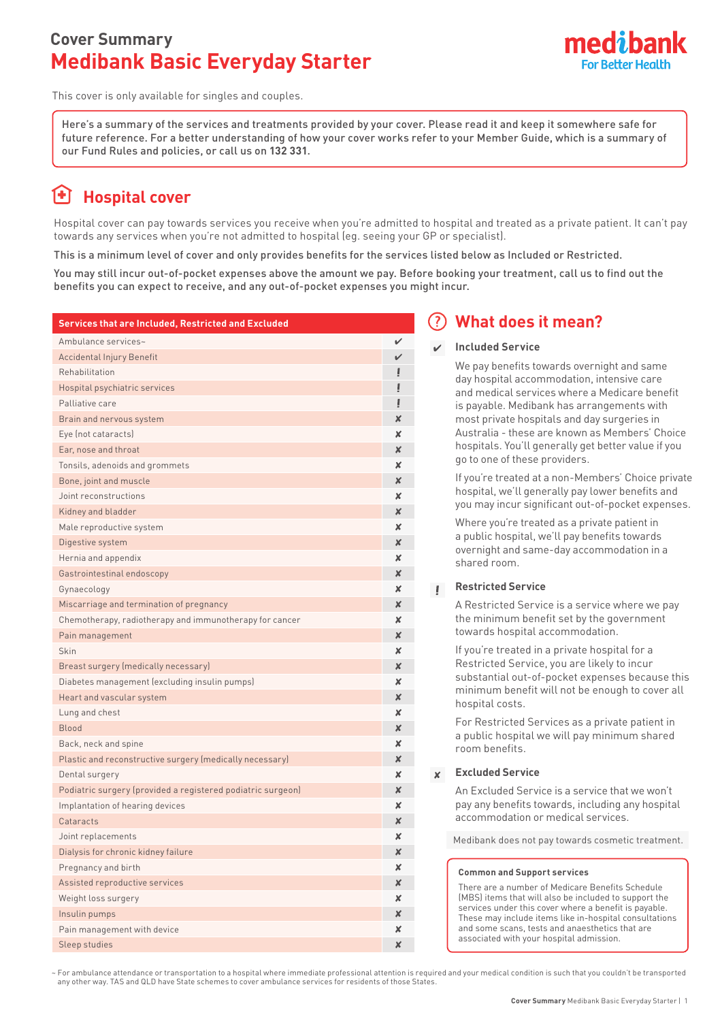### **Cover Summary Medibank Basic Everyday Starter**



This cover is only available for singles and couples.

Here's a summary of the services and treatments provided by your cover. Please read it and keep it somewhere safe for future reference. For a better understanding of how your cover works refer to your Member Guide, which is a summary of our Fund Rules and policies, or call us on **132 331**.

# **Hospital cover**

Hospital cover can pay towards services you receive when you're admitted to hospital and treated as a private patient. It can't pay towards any services when you're not admitted to hospital (eg. seeing your GP or specialist).

This is a minimum level of cover and only provides benefits for the services listed below as Included or Restricted.

You may still incur out-of-pocket expenses above the amount we pay. Before booking your treatment, call us to find out the benefits you can expect to receive, and any out-of-pocket expenses you might incur.

| Services that are Included, Restricted and Excluded         |   |
|-------------------------------------------------------------|---|
| Ambulance services~                                         | ✓ |
| Accidental Injury Benefit                                   | V |
| Rehabilitation                                              |   |
| Hospital psychiatric services                               |   |
| Palliative care                                             |   |
| Brain and nervous system                                    | x |
| Eye (not cataracts)                                         | X |
| Ear, nose and throat                                        | x |
| Tonsils, adenoids and grommets                              | x |
| Bone, joint and muscle                                      | x |
| Joint reconstructions                                       | x |
| Kidney and bladder                                          | X |
| Male reproductive system                                    | x |
| Digestive system                                            | X |
| Hernia and appendix                                         | x |
| Gastrointestinal endoscopy                                  | X |
| Gynaecology                                                 | x |
| Miscarriage and termination of pregnancy                    | x |
| Chemotherapy, radiotherapy and immunotherapy for cancer     | X |
| Pain management                                             | X |
| Skin                                                        | X |
| Breast surgery (medically necessary)                        | X |
| Diabetes management (excluding insulin pumps)               | X |
| Heart and vascular system                                   | x |
| Lung and chest                                              | x |
| Blood                                                       | x |
| Back, neck and spine                                        | x |
| Plastic and reconstructive surgery (medically necessary)    | X |
| Dental surgery                                              | x |
| Podiatric surgery (provided a registered podiatric surgeon) | x |
| Implantation of hearing devices                             | x |
| Cataracts                                                   | x |
| Joint replacements                                          | × |
| Dialysis for chronic kidney failure                         | x |
| Pregnancy and birth                                         | x |
| Assisted reproductive services                              | × |
| Weight loss surgery                                         | x |
| Insulin pumps                                               | x |
| Pain management with device                                 | x |
| Sleep studies                                               | × |

### **What does it mean?**

### **Included Service**

We pay benefits towards overnight and same day hospital accommodation, intensive care and medical services where a Medicare benefit is payable. Medibank has arrangements with most private hospitals and day surgeries in Australia - these are known as Members' Choice hospitals. You'll generally get better value if you go to one of these providers.

If you're treated at a non-Members' Choice private hospital, we'll generally pay lower benefits and you may incur significant out-of-pocket expenses.

Where you're treated as a private patient in a public hospital, we'll pay benefits towards overnight and same-day accommodation in a shared room.

#### **Restricted Service**  $\mathbf{L}$

A Restricted Service is a service where we pay the minimum benefit set by the government towards hospital accommodation.

If you're treated in a private hospital for a Restricted Service, you are likely to incur substantial out-of-pocket expenses because this minimum benefit will not be enough to cover all hospital costs.

For Restricted Services as a private patient in a public hospital we will pay minimum shared room benefits.

#### $\mathbf{x}$ **Excluded Service**

An Excluded Service is a service that we won't pay any benefits towards, including any hospital accommodation or medical services.

Medibank does not pay towards cosmetic treatment.

#### **Common and Support services**

There are a number of Medicare Benefits Schedule (MBS) items that will also be included to support the services under this cover where a benefit is payable. These may include items like in-hospital consultations and some scans, tests and anaesthetics that are associated with your hospital admission.

~ For ambulance attendance or transportation to a hospital where immediate professional attention is required and your medical condition is such that you couldn't be transported any other way. TAS and QLD have State schemes to cover ambulance services for residents of those States.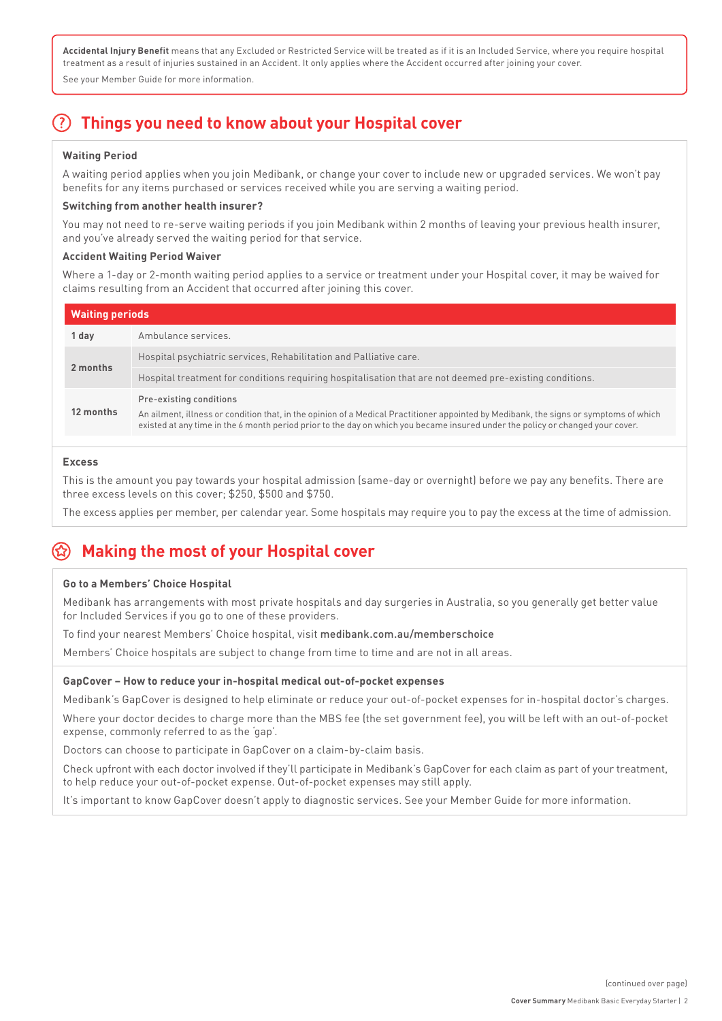**Accidental Injury Benefit** means that any Excluded or Restricted Service will be treated as if it is an Included Service, where you require hospital treatment as a result of injuries sustained in an Accident. It only applies where the Accident occurred after joining your cover.

See your Member Guide for more information.

## **Things you need to know about your Hospital cover**

### **Waiting Period**

A waiting period applies when you join Medibank, or change your cover to include new or upgraded services. We won't pay benefits for any items purchased or services received while you are serving a waiting period.

### **Switching from another health insurer?**

You may not need to re-serve waiting periods if you join Medibank within 2 months of leaving your previous health insurer, and you've already served the waiting period for that service.

#### **Accident Waiting Period Waiver**

Where a 1-day or 2-month waiting period applies to a service or treatment under your Hospital cover, it may be waived for claims resulting from an Accident that occurred after joining this cover.

| <b>Waiting periods</b> |                                                                                                                                                                                                                                                                                                    |  |  |  |  |
|------------------------|----------------------------------------------------------------------------------------------------------------------------------------------------------------------------------------------------------------------------------------------------------------------------------------------------|--|--|--|--|
| 1 day                  | Ambulance services.                                                                                                                                                                                                                                                                                |  |  |  |  |
| 2 months               | Hospital psychiatric services, Rehabilitation and Palliative care.                                                                                                                                                                                                                                 |  |  |  |  |
|                        | Hospital treatment for conditions requiring hospitalisation that are not deemed pre-existing conditions.                                                                                                                                                                                           |  |  |  |  |
| 12 months              | Pre-existing conditions<br>An ailment, illness or condition that, in the opinion of a Medical Practitioner appointed by Medibank, the signs or symptoms of which<br>existed at any time in the 6 month period prior to the day on which you became insured under the policy or changed your cover. |  |  |  |  |

#### **Excess**

This is the amount you pay towards your hospital admission (same-day or overnight) before we pay any benefits. There are three excess levels on this cover; \$250, \$500 and \$750.

The excess applies per member, per calendar year. Some hospitals may require you to pay the excess at the time of admission.

### **Making the most of your Hospital cover**

### **Go to a Members' Choice Hospital**

Medibank has arrangements with most private hospitals and day surgeries in Australia, so you generally get better value for Included Services if you go to one of these providers.

To find your nearest Members' Choice hospital, visit medibank.com.au/memberschoice

Members' Choice hospitals are subject to change from time to time and are not in all areas.

### **GapCover – How to reduce your in-hospital medical out-of-pocket expenses**

Medibank's GapCover is designed to help eliminate or reduce your out-of-pocket expenses for in-hospital doctor's charges.

Where your doctor decides to charge more than the MBS fee (the set government fee), you will be left with an out-of-pocket expense, commonly referred to as the 'gap'.

Doctors can choose to participate in GapCover on a claim-by-claim basis.

Check upfront with each doctor involved if they'll participate in Medibank's GapCover for each claim as part of your treatment, to help reduce your out-of-pocket expense. Out-of-pocket expenses may still apply.

It's important to know GapCover doesn't apply to diagnostic services. See your Member Guide for more information.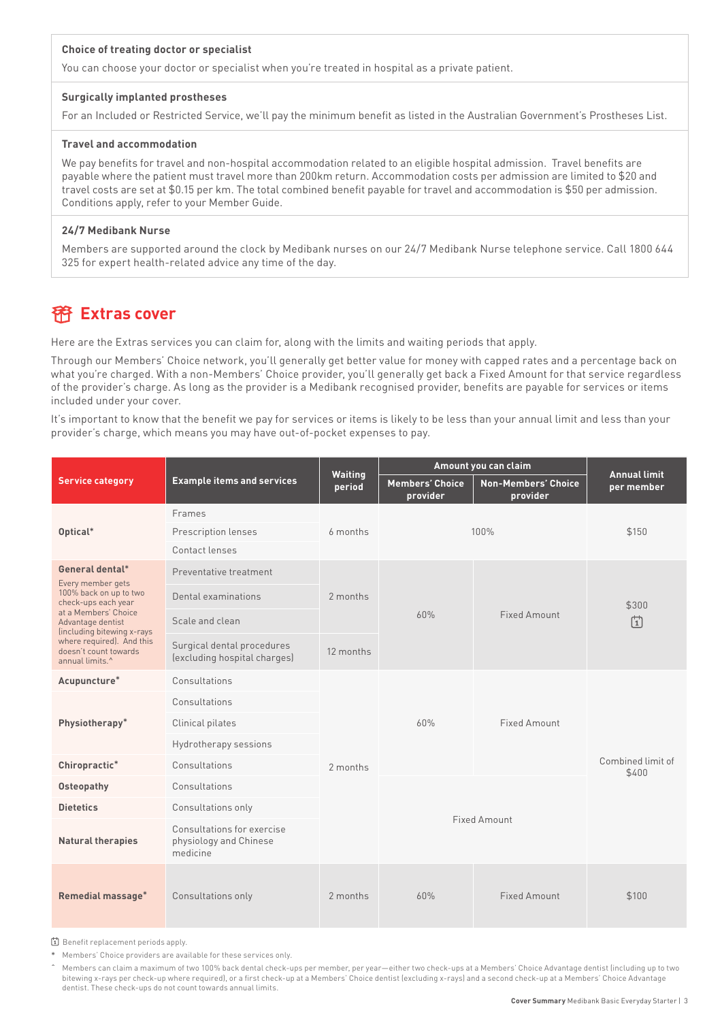#### **Choice of treating doctor or specialist**

You can choose your doctor or specialist when you're treated in hospital as a private patient.

#### **Surgically implanted prostheses**

For an Included or Restricted Service, we'll pay the minimum benefit as listed in the Australian Government's Prostheses List.

#### **Travel and accommodation**

We pay benefits for travel and non-hospital accommodation related to an eligible hospital admission. Travel benefits are payable where the patient must travel more than 200km return. Accommodation costs per admission are limited to \$20 and travel costs are set at \$0.15 per km. The total combined benefit payable for travel and accommodation is \$50 per admission. Conditions apply, refer to your Member Guide.

#### **24/7 Medibank Nurse**

Members are supported around the clock by Medibank nurses on our 24/7 Medibank Nurse telephone service. Call 1800 644 325 for expert health-related advice any time of the day.

### **Extras cover**

Here are the Extras services you can claim for, along with the limits and waiting periods that apply.

Through our Members' Choice network, you'll generally get better value for money with capped rates and a percentage back on what you're charged. With a non-Members' Choice provider, you'll generally get back a Fixed Amount for that service regardless of the provider's charge. As long as the provider is a Medibank recognised provider, benefits are payable for services or items included under your cover.

It's important to know that the benefit we pay for services or items is likely to be less than your annual limit and less than your provider's charge, which means you may have out-of-pocket expenses to pay.

|                                                                                                                                                                                                                                                       | <b>Example items and services</b>                                | <b>Waiting</b><br>period | Amount you can claim               |                                        | <b>Annual limit</b>        |
|-------------------------------------------------------------------------------------------------------------------------------------------------------------------------------------------------------------------------------------------------------|------------------------------------------------------------------|--------------------------|------------------------------------|----------------------------------------|----------------------------|
| <b>Service category</b>                                                                                                                                                                                                                               |                                                                  |                          | <b>Members' Choice</b><br>provider | <b>Non-Members' Choice</b><br>provider | per member                 |
|                                                                                                                                                                                                                                                       | Frames                                                           | 6 months                 | 100%                               |                                        | \$150                      |
| Optical*                                                                                                                                                                                                                                              | Prescription lenses                                              |                          |                                    |                                        |                            |
|                                                                                                                                                                                                                                                       | Contact lenses                                                   |                          |                                    |                                        |                            |
| General dental*<br>Every member gets<br>100% back on up to two<br>check-ups each year<br>at a Members' Choice<br>Advantage dentist<br>(including bitewing x-rays<br>where required). And this<br>doesn't count towards<br>annual limits. <sup>^</sup> | Preventative treatment                                           | 2 months                 | 60%<br>Fixed Amount                |                                        | \$300<br>曽                 |
|                                                                                                                                                                                                                                                       | Dental examinations                                              |                          |                                    |                                        |                            |
|                                                                                                                                                                                                                                                       | Scale and clean                                                  |                          |                                    |                                        |                            |
|                                                                                                                                                                                                                                                       | Surgical dental procedures<br>(excluding hospital charges)       | 12 months                |                                    |                                        |                            |
| Acupuncture*<br>Physiotherapy*                                                                                                                                                                                                                        | Consultations                                                    |                          | 60%                                | <b>Fixed Amount</b>                    | Combined limit of<br>\$400 |
|                                                                                                                                                                                                                                                       | Consultations                                                    |                          |                                    |                                        |                            |
|                                                                                                                                                                                                                                                       | Clinical pilates                                                 |                          |                                    |                                        |                            |
|                                                                                                                                                                                                                                                       | Hydrotherapy sessions                                            |                          |                                    |                                        |                            |
| Chiropractic*                                                                                                                                                                                                                                         | Consultations                                                    | 2 months                 |                                    |                                        |                            |
| Osteopathy                                                                                                                                                                                                                                            | Consultations                                                    |                          | <b>Fixed Amount</b>                |                                        |                            |
| <b>Dietetics</b>                                                                                                                                                                                                                                      | Consultations only                                               |                          |                                    |                                        |                            |
| <b>Natural therapies</b>                                                                                                                                                                                                                              | Consultations for exercise<br>physiology and Chinese<br>medicine |                          |                                    |                                        |                            |
| <b>Remedial massage*</b>                                                                                                                                                                                                                              | Consultations only                                               | 2 months                 | 60%                                | <b>Fixed Amount</b>                    | \$100                      |

[1] Benefit replacement periods apply.

**\*** Members' Choice providers are available for these services only.

**ˆ** Members can claim a maximum of two 100% back dental check-ups per member, per year—either two check-ups at a Members' Choice Advantage dentist (including up to two bitewing x-rays per check-up where required), or a first check-up at a Members' Choice dentist (excluding x-rays) and a second check-up at a Members' Choice Advantage dentist. These check-ups do not count towards annual limits.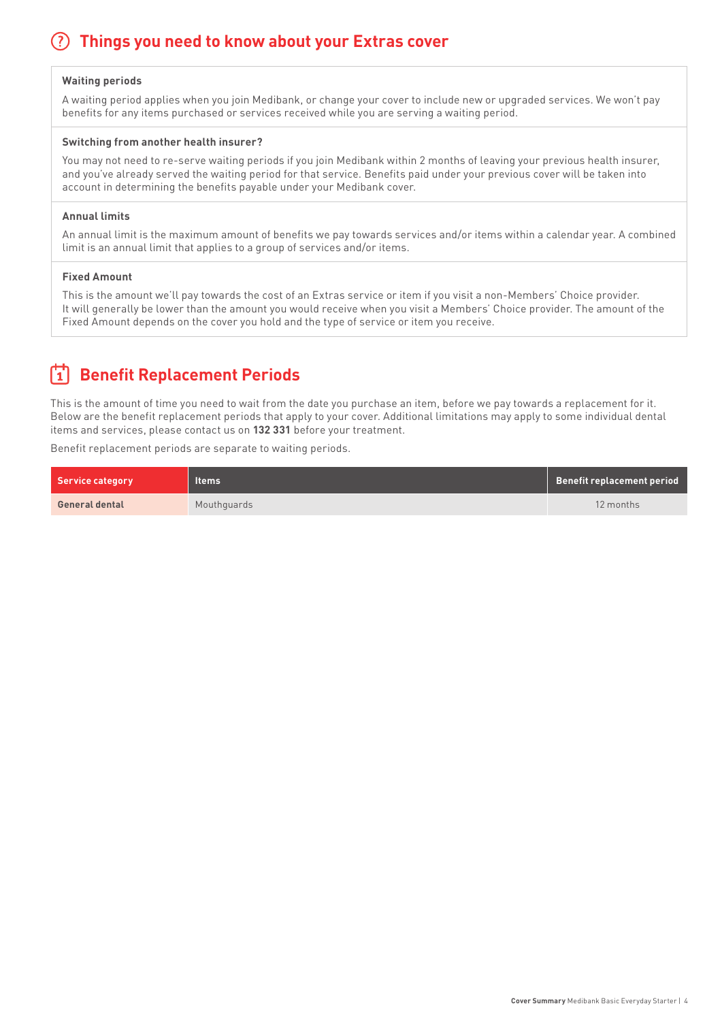## **Things you need to know about your Extras cover**

#### **Waiting periods**

A waiting period applies when you join Medibank, or change your cover to include new or upgraded services. We won't pay benefits for any items purchased or services received while you are serving a waiting period.

#### **Switching from another health insurer?**

You may not need to re-serve waiting periods if you join Medibank within 2 months of leaving your previous health insurer, and you've already served the waiting period for that service. Benefits paid under your previous cover will be taken into account in determining the benefits payable under your Medibank cover.

#### **Annual limits**

An annual limit is the maximum amount of benefits we pay towards services and/or items within a calendar year. A combined limit is an annual limit that applies to a group of services and/or items.

#### **Fixed Amount**

This is the amount we'll pay towards the cost of an Extras service or item if you visit a non-Members' Choice provider. It will generally be lower than the amount you would receive when you visit a Members' Choice provider. The amount of the Fixed Amount depends on the cover you hold and the type of service or item you receive.

# **Benefit Replacement Periods**

This is the amount of time you need to wait from the date you purchase an item, before we pay towards a replacement for it. Below are the benefit replacement periods that apply to your cover. Additional limitations may apply to some individual dental items and services, please contact us on **132 331** before your treatment.

Benefit replacement periods are separate to waiting periods.

| <b>Service category</b> | ltems'      | Benefit replacement period |
|-------------------------|-------------|----------------------------|
| <b>General dental</b>   | Mouthquards | 12 months                  |